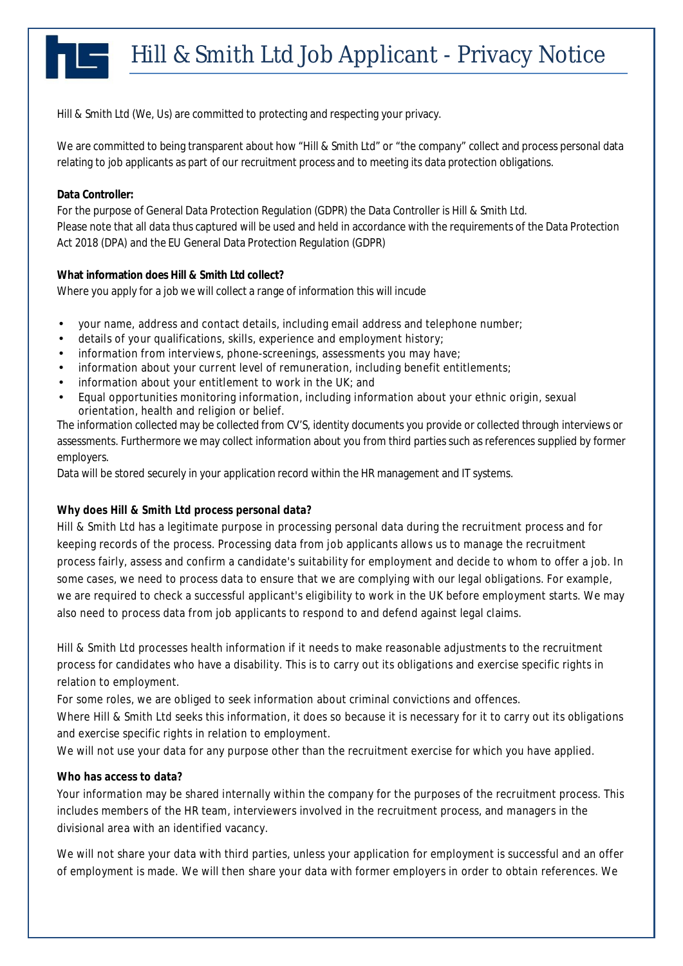Hill & Smith Ltd (We, Us) are committed to protecting and respecting your privacy.

We are committed to being transparent about how "Hill & Smith Ltd" or "the company" collect and process personal data relating to job applicants as part of our recruitment process and to meeting its data protection obligations.

### **Data Controller:**

For the purpose of General Data Protection Regulation (GDPR) the Data Controller is Hill & Smith Ltd. Please note that all data thus captured will be used and held in accordance with the requirements of the Data Protection Act 2018 (DPA) and the EU General Data Protection Regulation (GDPR)

**What information does Hill & Smith Ltd collect?** Where you apply for a job we will collect a range of information this will incude

- your name, address and contact details, including email address and telephone number;
- details of your qualifications, skills, experience and employment history;
- information from interviews, phone-screenings, assessments you may have;
- information about your current level of remuneration, including benefit entitlements;
- information about your entitlement to work in the UK; and
- Equal opportunities monitoring information, including information about your ethnic origin, sexual orientation, health and religion or belief.

The information collected may be collected from CV'S, identity documents you provide or collected through interviews or assessments. Furthermore we may collect information about you from third parties such as references supplied by former employers.

Data will be stored securely in your application record within the HR management and IT systems.

# **Why does Hill & Smith Ltd process personal data?**

Hill & Smith Ltd has a legitimate purpose in processing personal data during the recruitment process and for keeping records of the process. Processing data from job applicants allows us to manage the recruitment process fairly, assess and confirm a candidate's suitability for employment and decide to whom to offer a job. In some cases, we need to process data to ensure that we are complying with our legal obligations. For example, we are required to check a successful applicant's eligibility to work in the UK before employment starts. We may also need to process data from job applicants to respond to and defend against legal claims.

Hill & Smith Ltd processes health information if it needs to make reasonable adjustments to the recruitment process for candidates who have a disability. This is to carry out its obligations and exercise specific rights in relation to employment.

For some roles, we are obliged to seek information about criminal convictions and offences.

Where Hill & Smith Ltd seeks this information, it does so because it is necessary for it to carry out its obligations and exercise specific rights in relation to employment.

We will not use your data for any purpose other than the recruitment exercise for which you have applied.

# **Who has access to data?**

Your information may be shared internally within the company for the purposes of the recruitment process. This includes members of the HR team, interviewers involved in the recruitment process, and managers in the divisional area with an identified vacancy.

We will not share your data with third parties, unless your application for employment is successful and an offer of employment is made. We will then share your data with former employers in order to obtain references. We